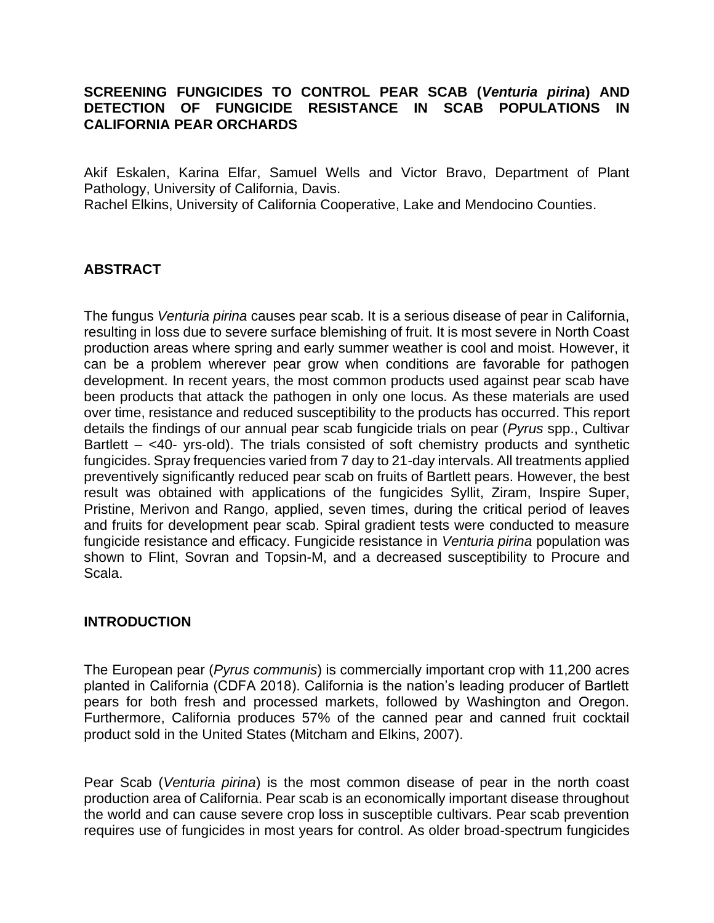## **SCREENING FUNGICIDES TO CONTROL PEAR SCAB (***Venturia pirina***) AND DETECTION OF FUNGICIDE RESISTANCE IN SCAB POPULATIONS IN CALIFORNIA PEAR ORCHARDS**

Akif Eskalen, Karina Elfar, Samuel Wells and Victor Bravo, Department of Plant Pathology, University of California, Davis.

Rachel Elkins, University of California Cooperative, Lake and Mendocino Counties.

## **ABSTRACT**

The fungus *Venturia pirina* causes pear scab. It is a serious disease of pear in California, resulting in loss due to severe surface blemishing of fruit. It is most severe in North Coast production areas where spring and early summer weather is cool and moist. However, it can be a problem wherever pear grow when conditions are favorable for pathogen development. In recent years, the most common products used against pear scab have been products that attack the pathogen in only one locus. As these materials are used over time, resistance and reduced susceptibility to the products has occurred. This report details the findings of our annual pear scab fungicide trials on pear (*Pyrus* spp., Cultivar Bartlett – <40- yrs-old). The trials consisted of soft chemistry products and synthetic fungicides. Spray frequencies varied from 7 day to 21-day intervals. All treatments applied preventively significantly reduced pear scab on fruits of Bartlett pears. However, the best result was obtained with applications of the fungicides Syllit, Ziram, Inspire Super, Pristine, Merivon and Rango, applied, seven times, during the critical period of leaves and fruits for development pear scab. Spiral gradient tests were conducted to measure fungicide resistance and efficacy. Fungicide resistance in *Venturia pirina* population was shown to Flint, Sovran and Topsin-M, and a decreased susceptibility to Procure and Scala.

## **INTRODUCTION**

The European pear (*Pyrus communis*) is commercially important crop with 11,200 acres planted in California (CDFA 2018). California is the nation's leading producer of Bartlett pears for both fresh and processed markets, followed by Washington and Oregon. Furthermore, California produces 57% of the canned pear and canned fruit cocktail product sold in the United States (Mitcham and Elkins, 2007).

Pear Scab (*Venturia pirina*) is the most common disease of pear in the north coast production area of California. Pear scab is an economically important disease throughout the world and can cause severe crop loss in susceptible cultivars. Pear scab prevention requires use of fungicides in most years for control. As older broad-spectrum fungicides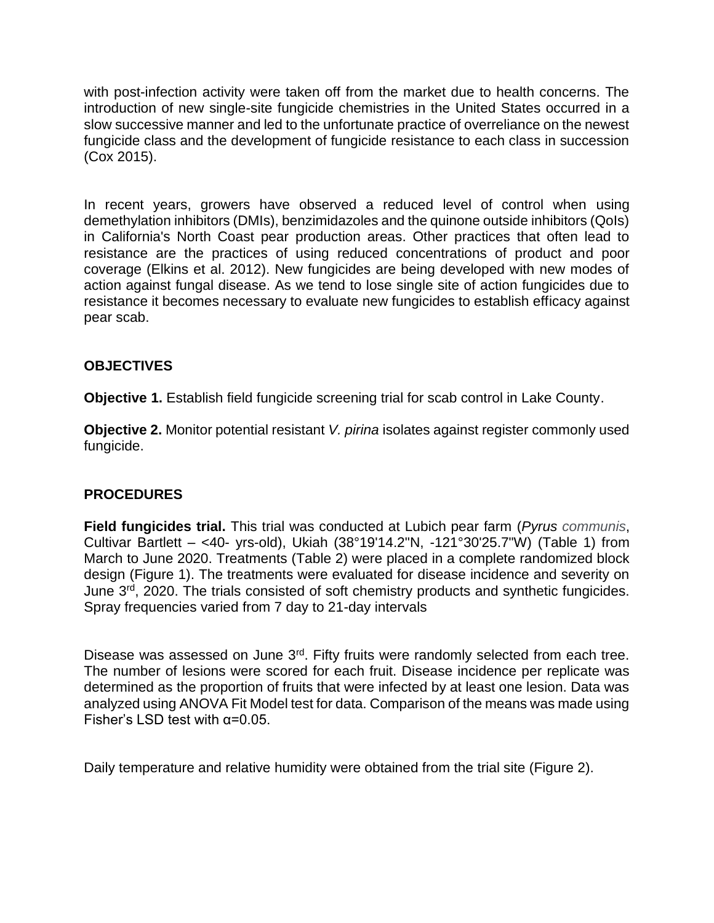with post-infection activity were taken off from the market due to health concerns. The introduction of new single-site fungicide chemistries in the United States occurred in a slow successive manner and led to the unfortunate practice of overreliance on the newest fungicide class and the development of fungicide resistance to each class in succession (Cox 2015).

In recent years, growers have observed a reduced level of control when using demethylation inhibitors (DMIs), benzimidazoles and the quinone outside inhibitors (QoIs) in California's North Coast pear production areas. Other practices that often lead to resistance are the practices of using reduced concentrations of product and poor coverage (Elkins et al. 2012). New fungicides are being developed with new modes of action against fungal disease. As we tend to lose single site of action fungicides due to resistance it becomes necessary to evaluate new fungicides to establish efficacy against pear scab.

## **OBJECTIVES**

**Objective 1.** Establish field fungicide screening trial for scab control in Lake County.

**Objective 2.** Monitor potential resistant *V. pirina* isolates against register commonly used fungicide.

## **PROCEDURES**

**Field fungicides trial.** This trial was conducted at Lubich pear farm (*Pyrus communis*, Cultivar Bartlett – <40- yrs-old), Ukiah (38°19'14.2"N, -121°30'25.7"W) (Table 1) from March to June 2020. Treatments (Table 2) were placed in a complete randomized block design (Figure 1). The treatments were evaluated for disease incidence and severity on June 3<sup>rd</sup>, 2020. The trials consisted of soft chemistry products and synthetic fungicides. Spray frequencies varied from 7 day to 21-day intervals

Disease was assessed on June 3<sup>rd</sup>. Fifty fruits were randomly selected from each tree. The number of lesions were scored for each fruit. Disease incidence per replicate was determined as the proportion of fruits that were infected by at least one lesion. Data was analyzed using ANOVA Fit Model test for data. Comparison of the means was made using Fisher's LSD test with  $\alpha = 0.05$ .

Daily temperature and relative humidity were obtained from the trial site (Figure 2).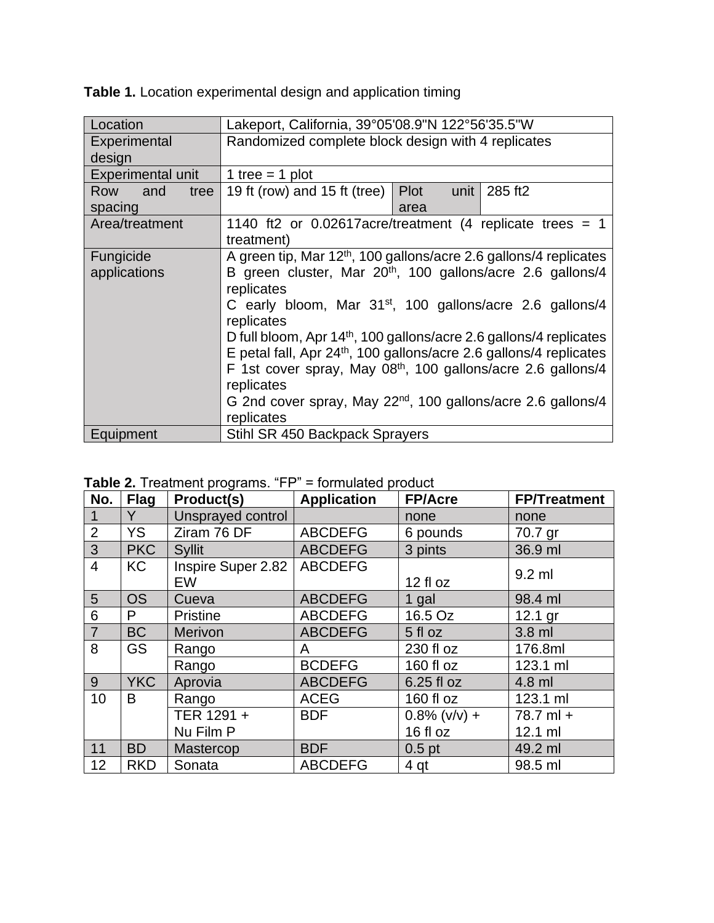| Location           | Lakeport, California, 39°05'08.9"N 122°56'35.5"W                               |  |  |  |
|--------------------|--------------------------------------------------------------------------------|--|--|--|
| Experimental       | Randomized complete block design with 4 replicates                             |  |  |  |
| design             |                                                                                |  |  |  |
| Experimental unit  | 1 tree = 1 plot                                                                |  |  |  |
| and<br>Row<br>tree | Plot<br>unit<br>285 ft2<br>19 ft (row) and 15 ft (tree)                        |  |  |  |
| spacing            | area                                                                           |  |  |  |
| Area/treatment     | 1140 ft2 or 0.02617 acre/treatment (4 replicate trees = 1                      |  |  |  |
|                    | treatment)                                                                     |  |  |  |
| Fungicide          | A green tip, Mar 12 <sup>th</sup> , 100 gallons/acre 2.6 gallons/4 replicates  |  |  |  |
| applications       | B green cluster, Mar 20 <sup>th</sup> , 100 gallons/acre 2.6 gallons/4         |  |  |  |
|                    | replicates                                                                     |  |  |  |
|                    | C early bloom, Mar $31st$ , 100 gallons/acre 2.6 gallons/4                     |  |  |  |
|                    | replicates                                                                     |  |  |  |
|                    | D full bloom, Apr 14 <sup>th</sup> , 100 gallons/acre 2.6 gallons/4 replicates |  |  |  |
|                    | E petal fall, Apr 24 <sup>th</sup> , 100 gallons/acre 2.6 gallons/4 replicates |  |  |  |
|                    | F 1st cover spray, May 08 <sup>th</sup> , 100 gallons/acre 2.6 gallons/4       |  |  |  |
|                    | replicates                                                                     |  |  |  |
|                    | G 2nd cover spray, May 22 <sup>nd</sup> , 100 gallons/acre 2.6 gallons/4       |  |  |  |
|                    | replicates                                                                     |  |  |  |
| Equipment          | Stihl SR 450 Backpack Sprayers                                                 |  |  |  |

**Table 1.** Location experimental design and application timing

|  | <b>Table 2.</b> Treatment programs. "FP" = formulated product |  |  |
|--|---------------------------------------------------------------|--|--|
|--|---------------------------------------------------------------|--|--|

| No.            | <b>Flag</b> | Product(s)                      | <b>Application</b> | <b>FP/Acre</b>  | <b>FP/Treatment</b> |
|----------------|-------------|---------------------------------|--------------------|-----------------|---------------------|
|                | Y           | Unsprayed control               |                    | none            | none                |
| $\overline{2}$ | <b>YS</b>   | Ziram 76 DF                     | <b>ABCDEFG</b>     | 6 pounds        | 70.7 gr             |
| 3              | <b>PKC</b>  | <b>Syllit</b>                   | <b>ABCDEFG</b>     | 3 pints         | 36.9 ml             |
| $\overline{4}$ | <b>KC</b>   | Inspire Super 2.82<br><b>EW</b> | <b>ABCDEFG</b>     | 12 fl oz        | $9.2$ ml            |
| 5              | <b>OS</b>   | Cueva                           | <b>ABCDEFG</b>     | 1 gal           | 98.4 ml             |
| 6              | P           | <b>Pristine</b>                 | <b>ABCDEFG</b>     | 16.5 Oz         | $12.1$ gr           |
| $\overline{7}$ | <b>BC</b>   | <b>Merivon</b>                  | <b>ABCDEFG</b>     | 5 fl oz         | $3.8$ ml            |
| 8              | <b>GS</b>   | Rango                           | A                  | 230 fl oz       | 176.8ml             |
|                |             | Rango                           | <b>BCDEFG</b>      | 160 fl oz       | 123.1 ml            |
| 9              | <b>YKC</b>  | Aprovia                         | <b>ABCDEFG</b>     | 6.25 fl oz      | 4.8 ml              |
| 10             | B           | Rango                           | <b>ACEG</b>        | 160 fl oz       | 123.1 ml            |
|                |             | TER 1291 +                      | <b>BDF</b>         | $0.8\%$ (v/v) + | 78.7 ml +           |
|                |             | Nu Film P                       |                    | 16 fl oz        | 12.1 ml             |
| 11             | <b>BD</b>   | Mastercop                       | <b>BDF</b>         | $0.5$ pt        | 49.2 ml             |
| 12             | <b>RKD</b>  | Sonata                          | <b>ABCDEFG</b>     | 4 qt            | 98.5 ml             |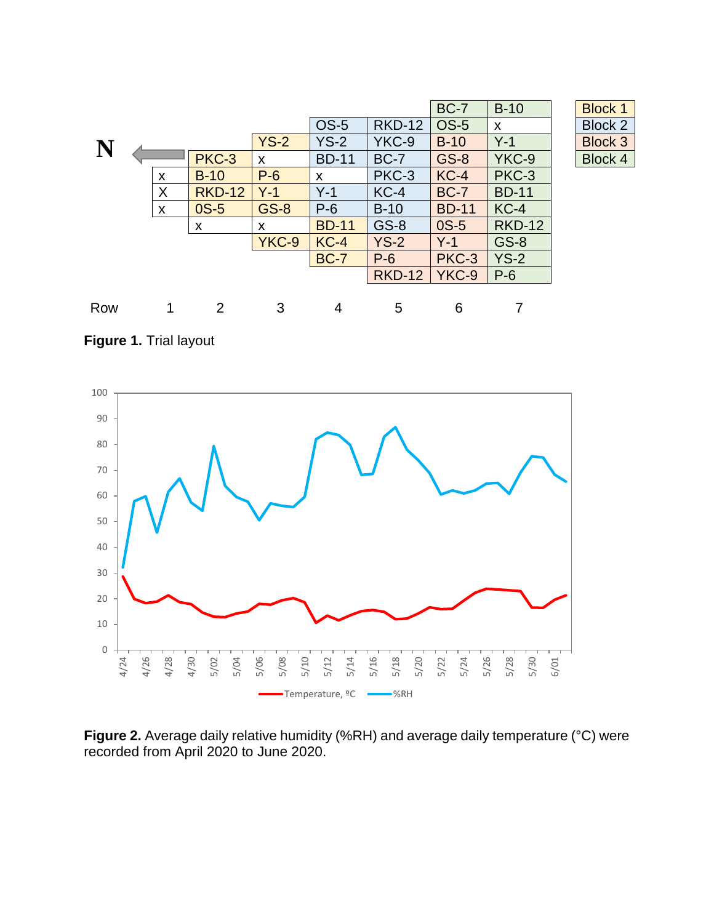|     |              |               |             |              |               | <b>BC-7</b>  | $B-10$        | <b>Block 1</b> |
|-----|--------------|---------------|-------------|--------------|---------------|--------------|---------------|----------------|
|     |              |               |             | <b>OS-5</b>  | <b>RKD-12</b> | <b>OS-5</b>  | X             | <b>Block 2</b> |
| N   |              |               | $YS-2$      | $YS-2$       | YKC-9         | $B-10$       | $Y-1$         | <b>Block 3</b> |
|     |              | PKC-3         | X           | <b>BD-11</b> | <b>BC-7</b>   | <b>GS-8</b>  | YKC-9         | <b>Block 4</b> |
|     | X            | $B-10$        | $P-6$       | X            | PKC-3         | $KC-4$       | PKC-3         |                |
|     | X            | <b>RKD-12</b> | $Y-1$       | $Y-1$        | $KC-4$        | <b>BC-7</b>  | <b>BD-11</b>  |                |
|     | $\mathsf{x}$ | $OS-5$        | <b>GS-8</b> | $P-6$        | $B-10$        | <b>BD-11</b> | $KC-4$        |                |
|     |              | X             | X           | <b>BD-11</b> | $GS-8$        | $OS-5$       | <b>RKD-12</b> |                |
|     |              |               | YKC-9       | $KC-4$       | $YS-2$        | $Y-1$        | <b>GS-8</b>   |                |
|     |              |               |             | <b>BC-7</b>  | $P-6$         | PKC-3        | $YS-2$        |                |
|     |              |               |             |              | <b>RKD-12</b> | YKC-9        | $P-6$         |                |
|     |              |               |             |              |               |              |               |                |
| Row |              | 2             | 3           | 4            | 5             | 6            | 7             |                |

| Block<br>1     |
|----------------|
| Block 2        |
| <b>Block 3</b> |
| Block 4        |

**Figure 1.** Trial layout



**Figure 2.** Average daily relative humidity (%RH) and average daily temperature (°C) were recorded from April 2020 to June 2020.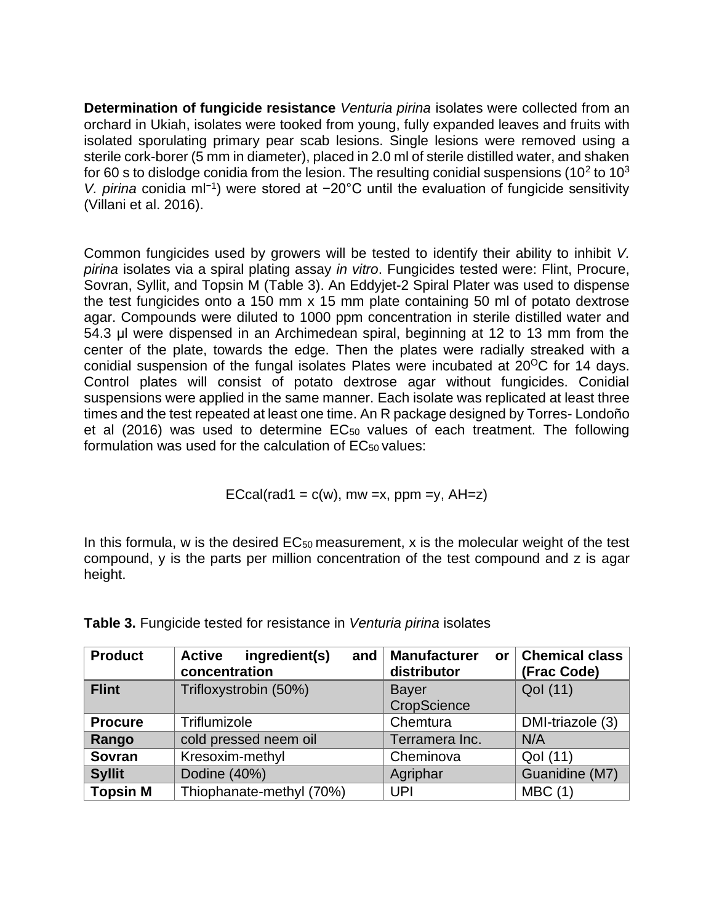**Determination of fungicide resistance** *Venturia pirina* isolates were collected from an orchard in Ukiah, isolates were tooked from young, fully expanded leaves and fruits with isolated sporulating primary pear scab lesions. Single lesions were removed using a sterile cork-borer (5 mm in diameter), placed in 2.0 ml of sterile distilled water, and shaken for 60 s to dislodge conidia from the lesion. The resulting conidial suspensions (10<sup>2</sup> to 10<sup>3</sup> *V. pirina* conidia ml<sup>-1</sup>) were stored at −20°C until the evaluation of fungicide sensitivity (Villani et al. 2016).

Common fungicides used by growers will be tested to identify their ability to inhibit *V. pirina* isolates via a spiral plating assay *in vitro*. Fungicides tested were: Flint, Procure, Sovran, Syllit, and Topsin M (Table 3). An Eddyjet-2 Spiral Plater was used to dispense the test fungicides onto a 150 mm x 15 mm plate containing 50 ml of potato dextrose agar. Compounds were diluted to 1000 ppm concentration in sterile distilled water and 54.3 μl were dispensed in an Archimedean spiral, beginning at 12 to 13 mm from the center of the plate, towards the edge. Then the plates were radially streaked with a conidial suspension of the fungal isolates Plates were incubated at  $20^{\circ}$ C for 14 days. Control plates will consist of potato dextrose agar without fungicides. Conidial suspensions were applied in the same manner. Each isolate was replicated at least three times and the test repeated at least one time. An R package designed by Torres- Londoño et al  $(2016)$  was used to determine  $EC_{50}$  values of each treatment. The following formulation was used for the calculation of EC<sub>50</sub> values:

$$
ECcal(rad1 = c(w), mw = x, ppm = y, AH = z)
$$

In this formula, w is the desired  $EC_{50}$  measurement, x is the molecular weight of the test compound, y is the parts per million concentration of the test compound and z is agar height.

| <b>Product</b>  | ingredient(s)<br><b>Active</b><br>and<br>concentration | <b>Manufacturer</b><br><b>or</b><br>distributor | <b>Chemical class</b><br>(Frac Code) |
|-----------------|--------------------------------------------------------|-------------------------------------------------|--------------------------------------|
| <b>Flint</b>    | Trifloxystrobin (50%)                                  | <b>Bayer</b>                                    | Qol (11)                             |
|                 |                                                        | CropScience                                     |                                      |
| <b>Procure</b>  | Triflumizole                                           | Chemtura                                        | DMI-triazole (3)                     |
| Rango           | cold pressed neem oil                                  | Terramera Inc.                                  | N/A                                  |
| <b>Sovran</b>   | Kresoxim-methyl                                        | Cheminova                                       | Qol (11)                             |
| <b>Syllit</b>   | Dodine (40%)                                           | Agriphar                                        | Guanidine (M7)                       |
| <b>Topsin M</b> | Thiophanate-methyl (70%)                               | <b>UPI</b>                                      | MBC(1)                               |

**Table 3.** Fungicide tested for resistance in *Venturia pirina* isolates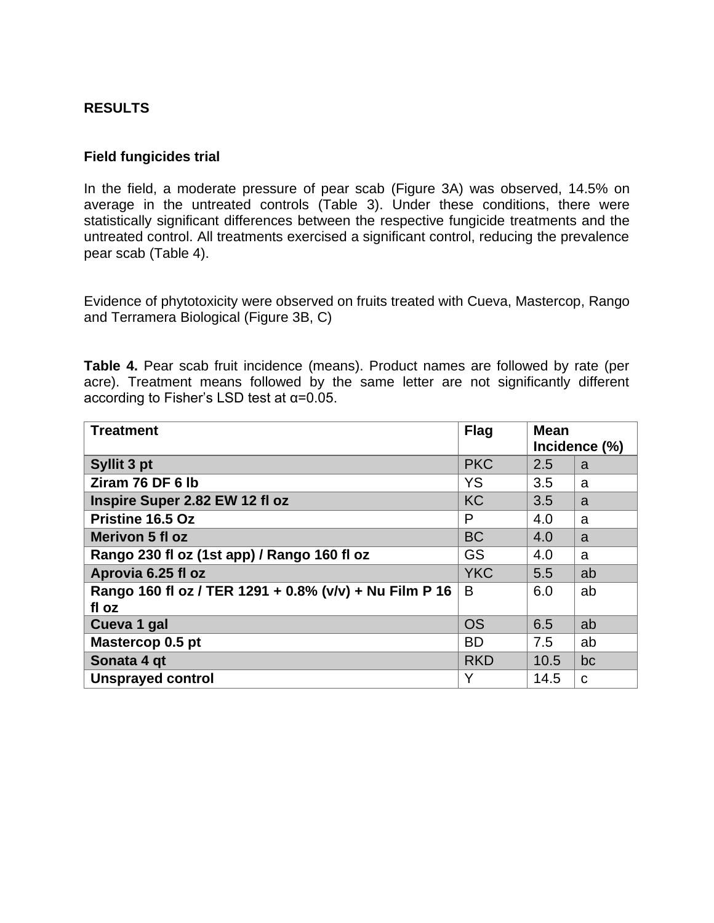## **RESULTS**

#### **Field fungicides trial**

In the field, a moderate pressure of pear scab (Figure 3A) was observed, 14.5% on average in the untreated controls (Table 3). Under these conditions, there were statistically significant differences between the respective fungicide treatments and the untreated control. All treatments exercised a significant control, reducing the prevalence pear scab (Table 4).

Evidence of phytotoxicity were observed on fruits treated with Cueva, Mastercop, Rango and Terramera Biological (Figure 3B, C)

**Table 4.** Pear scab fruit incidence (means). Product names are followed by rate (per acre). Treatment means followed by the same letter are not significantly different according to Fisher's LSD test at α=0.05.

| <b>Treatment</b>                                       | <b>Flag</b> | <b>Mean</b> |               |
|--------------------------------------------------------|-------------|-------------|---------------|
|                                                        |             |             | Incidence (%) |
| Syllit 3 pt                                            | <b>PKC</b>  | 2.5         | a             |
| Ziram 76 DF 6 lb                                       | <b>YS</b>   | 3.5         | a             |
| Inspire Super 2.82 EW 12 fl oz                         | <b>KC</b>   | 3.5         | a             |
| Pristine 16.5 Oz                                       | P           | 4.0         | a             |
| Merivon 5 fl oz                                        | <b>BC</b>   | 4.0         | a             |
| Rango 230 fl oz (1st app) / Rango 160 fl oz            | <b>GS</b>   | 4.0         | a             |
| Aprovia 6.25 fl oz                                     | <b>YKC</b>  | 5.5         | ab            |
| Rango 160 fl oz / TER 1291 + 0.8% (v/v) + Nu Film P 16 | B           | 6.0         | ab            |
| fl oz                                                  |             |             |               |
| Cueva 1 gal                                            | <b>OS</b>   | 6.5         | ab            |
| Mastercop 0.5 pt                                       | <b>BD</b>   | 7.5         | ab            |
| Sonata 4 gt                                            | <b>RKD</b>  | 10.5        | bc            |
| <b>Unsprayed control</b>                               | Y           | 14.5        | C             |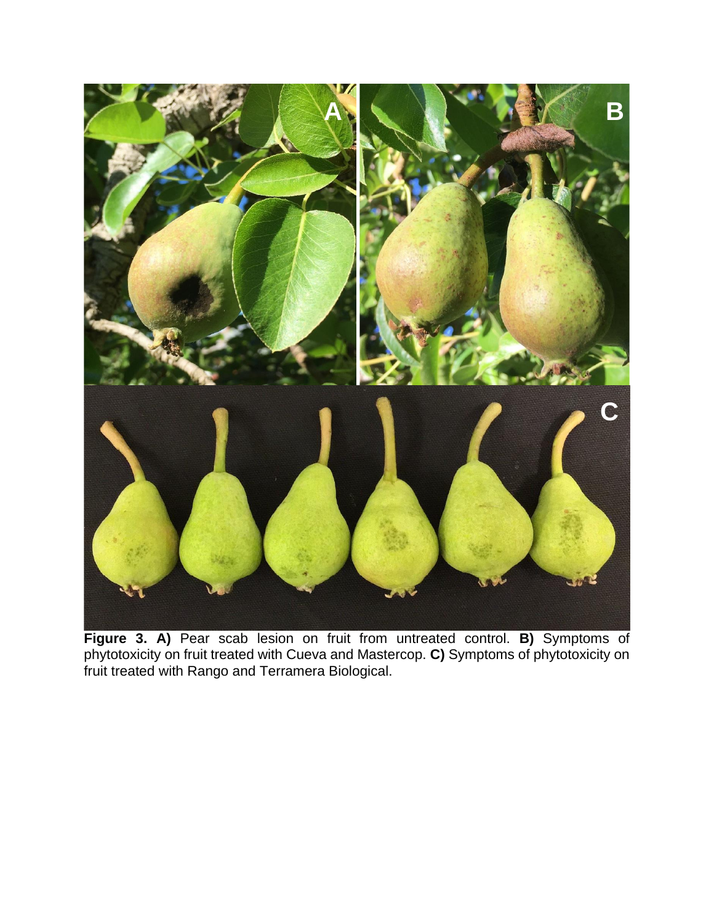

**Figure 3. A)** Pear scab lesion on fruit from untreated control. **B)** Symptoms of phytotoxicity on fruit treated with Cueva and Mastercop. **C)** Symptoms of phytotoxicity on fruit treated with Rango and Terramera Biological.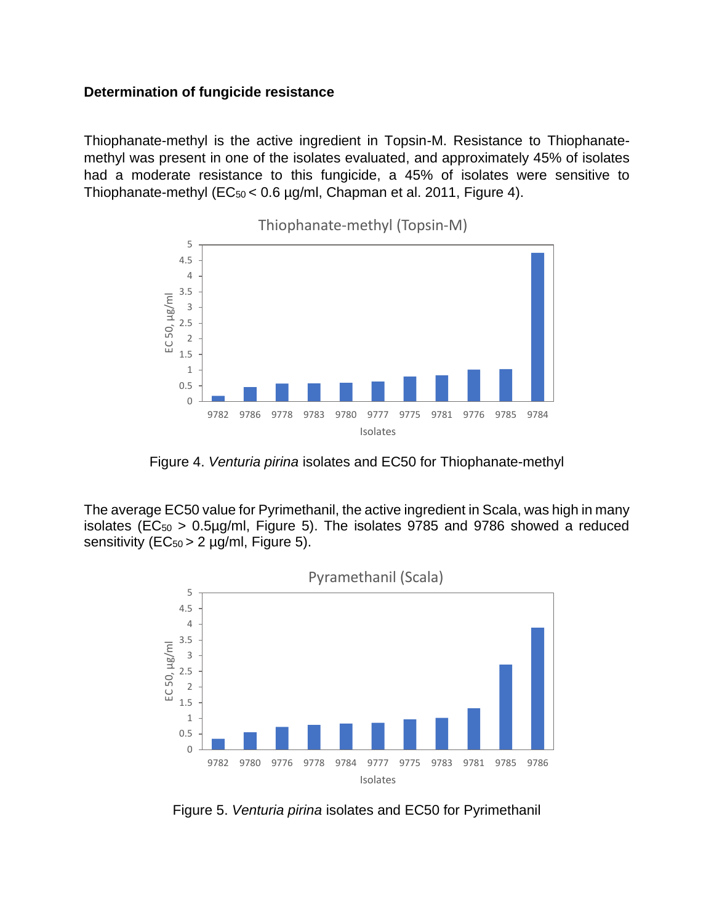#### **Determination of fungicide resistance**

Thiophanate-methyl is the active ingredient in Topsin-M. Resistance to Thiophanatemethyl was present in one of the isolates evaluated, and approximately 45% of isolates had a moderate resistance to this fungicide, a 45% of isolates were sensitive to Thiophanate-methyl ( $EC_{50}$  < 0.6 µg/ml, Chapman et al. 2011, Figure 4).



Figure 4. *Venturia pirina* isolates and EC50 for Thiophanate-methyl

The average EC50 value for Pyrimethanil, the active ingredient in Scala, was high in many isolates ( $EC_{50} > 0.5 \mu g/ml$ , Figure 5). The isolates 9785 and 9786 showed a reduced sensitivity ( $EC_{50} > 2$  µg/ml, Figure 5).



Figure 5. *Venturia pirina* isolates and EC50 for Pyrimethanil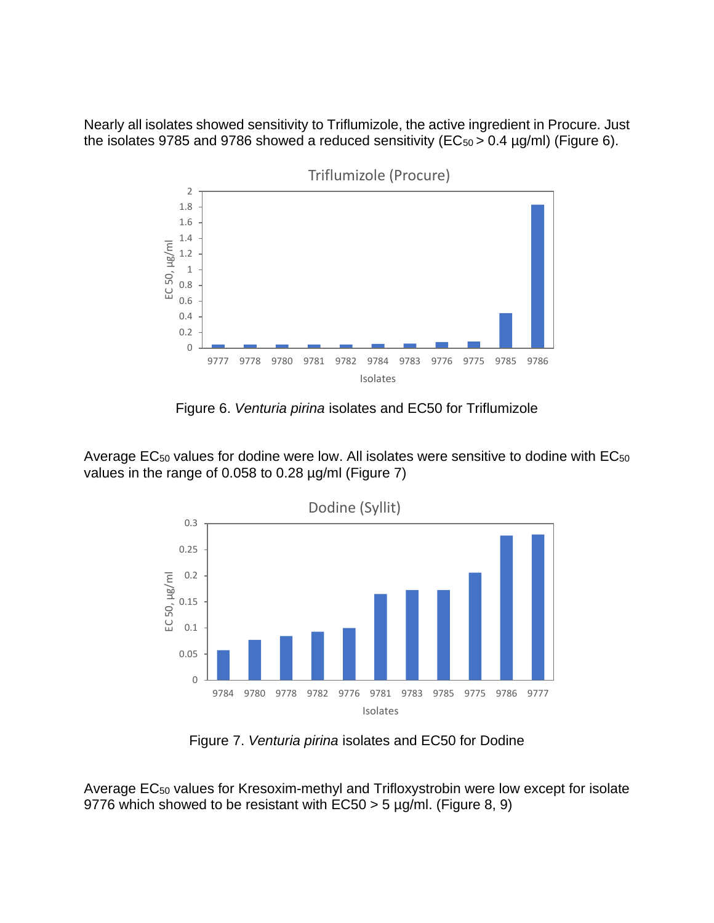Nearly all isolates showed sensitivity to Triflumizole, the active ingredient in Procure. Just the isolates 9785 and 9786 showed a reduced sensitivity ( $EC_{50} > 0.4 \mu g/ml$ ) (Figure 6).



Figure 6. *Venturia pirina* isolates and EC50 for Triflumizole

Average EC<sub>50</sub> values for dodine were low. All isolates were sensitive to dodine with EC<sub>50</sub> values in the range of 0.058 to 0.28 µg/ml (Figure 7)



Figure 7. *Venturia pirina* isolates and EC50 for Dodine

Average EC<sup>50</sup> values for Kresoxim-methyl and Trifloxystrobin were low except for isolate 9776 which showed to be resistant with  $EC50 > 5 \mu g/ml$ . (Figure 8, 9)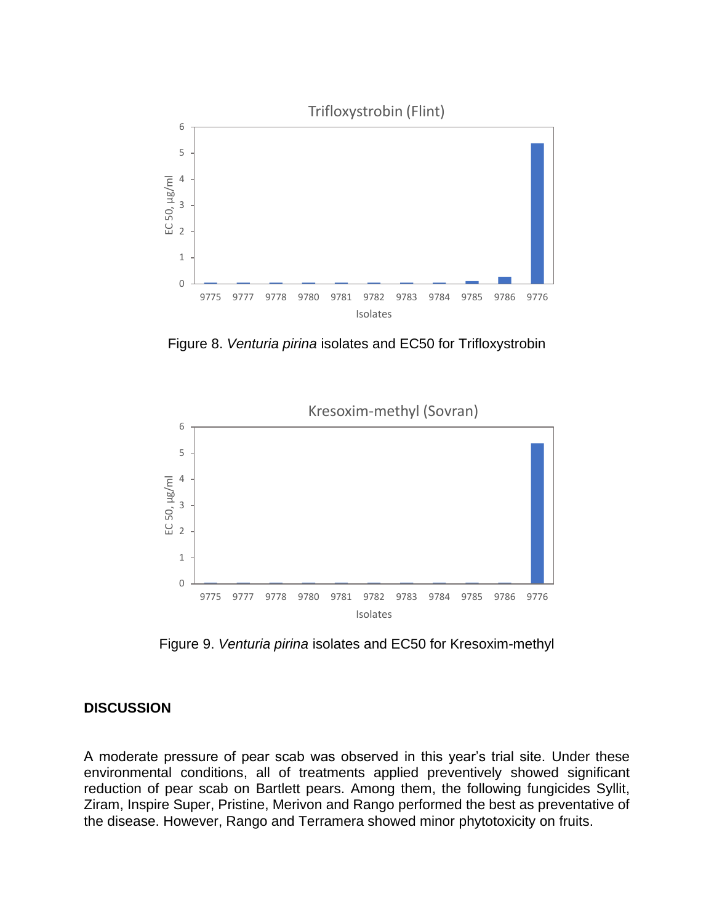

Figure 8. *Venturia pirina* isolates and EC50 for Trifloxystrobin



Figure 9. *Venturia pirina* isolates and EC50 for Kresoxim-methyl

## **DISCUSSION**

A moderate pressure of pear scab was observed in this year's trial site. Under these environmental conditions, all of treatments applied preventively showed significant reduction of pear scab on Bartlett pears. Among them, the following fungicides Syllit, Ziram, Inspire Super, Pristine, Merivon and Rango performed the best as preventative of the disease. However, Rango and Terramera showed minor phytotoxicity on fruits.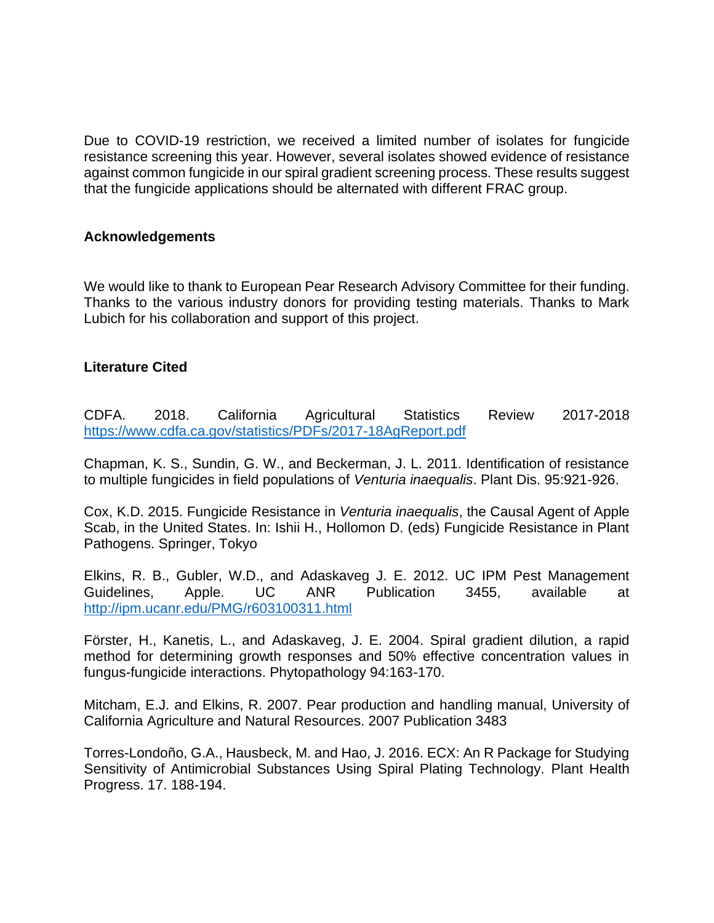Due to COVID-19 restriction, we received a limited number of isolates for fungicide resistance screening this year. However, several isolates showed evidence of resistance against common fungicide in our spiral gradient screening process. These results suggest that the fungicide applications should be alternated with different FRAC group.

#### **Acknowledgements**

We would like to thank to European Pear Research Advisory Committee for their funding. Thanks to the various industry donors for providing testing materials. Thanks to Mark Lubich for his collaboration and support of this project.

## **Literature Cited**

CDFA. 2018. California Agricultural Statistics Review 2017-2018 <https://www.cdfa.ca.gov/statistics/PDFs/2017-18AgReport.pdf>

Chapman, K. S., Sundin, G. W., and Beckerman, J. L. 2011. Identification of resistance to multiple fungicides in field populations of *Venturia inaequalis*. Plant Dis. 95:921-926.

Cox, K.D. 2015. Fungicide Resistance in *Venturia inaequalis*, the Causal Agent of Apple Scab, in the United States. In: Ishii H., Hollomon D. (eds) Fungicide Resistance in Plant Pathogens. Springer, Tokyo

Elkins, R. B., Gubler, W.D., and Adaskaveg J. E. 2012. UC IPM Pest Management Guidelines, Apple. UC ANR Publication 3455, available at <http://ipm.ucanr.edu/PMG/r603100311.html>

Förster, H., Kanetis, L., and Adaskaveg, J. E. 2004. Spiral gradient dilution, a rapid method for determining growth responses and 50% effective concentration values in fungus-fungicide interactions. Phytopathology 94:163-170.

Mitcham, E.J. and Elkins, R. 2007. Pear production and handling manual, University of California Agriculture and Natural Resources. 2007 Publication 3483

Torres-Londoño, G.A., Hausbeck, M. and Hao, J. 2016. ECX: An R Package for Studying Sensitivity of Antimicrobial Substances Using Spiral Plating Technology. Plant Health Progress. 17. 188-194.